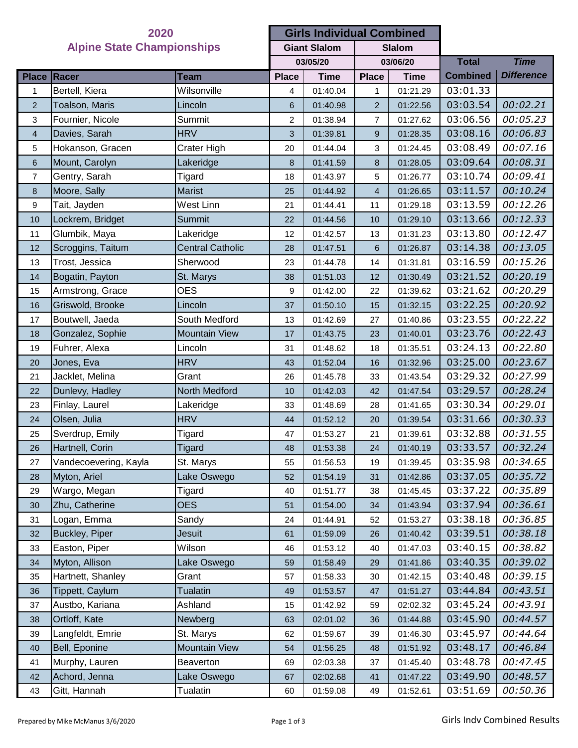| 2020<br><b>Alpine State Championships</b> |                       |                         |                     | <b>Girls Individual Combined</b> |                         |             |                 |                   |
|-------------------------------------------|-----------------------|-------------------------|---------------------|----------------------------------|-------------------------|-------------|-----------------|-------------------|
|                                           |                       |                         | <b>Giant Slalom</b> |                                  | <b>Slalom</b>           |             |                 |                   |
|                                           |                       |                         |                     | 03/05/20                         |                         | 03/06/20    | <b>Total</b>    | <b>Time</b>       |
|                                           | <b>Place Racer</b>    | <b>Team</b>             | <b>Place</b>        | <b>Time</b>                      | <b>Place</b>            | <b>Time</b> | <b>Combined</b> | <b>Difference</b> |
| 1                                         | Bertell, Kiera        | Wilsonville             | 4                   | 01:40.04                         | 1                       | 01:21.29    | 03:01.33        |                   |
| $\overline{2}$                            | Toalson, Maris        | Lincoln                 | 6                   | 01:40.98                         | $\overline{2}$          | 01:22.56    | 03:03.54        | 00:02.21          |
| 3                                         | Fournier, Nicole      | Summit                  | 2                   | 01:38.94                         | $\overline{7}$          | 01:27.62    | 03:06.56        | 00:05.23          |
| $\overline{4}$                            | Davies, Sarah         | <b>HRV</b>              | 3                   | 01:39.81                         | 9                       | 01:28.35    | 03:08.16        | 00:06.83          |
| 5                                         | Hokanson, Gracen      | Crater High             | 20                  | 01:44.04                         | 3                       | 01:24.45    | 03:08.49        | 00:07.16          |
| $6\phantom{.}$                            | Mount, Carolyn        | Lakeridge               | 8                   | 01:41.59                         | 8                       | 01:28.05    | 03:09.64        | 00:08.31          |
| $\overline{7}$                            | Gentry, Sarah         | Tigard                  | 18                  | 01:43.97                         | 5                       | 01:26.77    | 03:10.74        | 00:09.41          |
| 8                                         | Moore, Sally          | <b>Marist</b>           | 25                  | 01:44.92                         | $\overline{\mathbf{4}}$ | 01:26.65    | 03:11.57        | 00:10.24          |
| 9                                         | Tait, Jayden          | West Linn               | 21                  | 01:44.41                         | 11                      | 01:29.18    | 03:13.59        | 00:12.26          |
| 10                                        | Lockrem, Bridget      | <b>Summit</b>           | 22                  | 01:44.56                         | 10                      | 01:29.10    | 03:13.66        | 00:12.33          |
| 11                                        | Glumbik, Maya         | Lakeridge               | 12                  | 01:42.57                         | 13                      | 01:31.23    | 03:13.80        | 00:12.47          |
| 12                                        | Scroggins, Taitum     | <b>Central Catholic</b> | 28                  | 01:47.51                         | 6                       | 01:26.87    | 03:14.38        | 00:13.05          |
| 13                                        | Trost, Jessica        | Sherwood                | 23                  | 01:44.78                         | 14                      | 01:31.81    | 03:16.59        | 00:15.26          |
| 14                                        | Bogatin, Payton       | St. Marys               | 38                  | 01:51.03                         | 12                      | 01:30.49    | 03:21.52        | 00:20.19          |
| 15                                        | Armstrong, Grace      | <b>OES</b>              | 9                   | 01:42.00                         | 22                      | 01:39.62    | 03:21.62        | 00:20.29          |
| 16                                        | Griswold, Brooke      | Lincoln                 | 37                  | 01:50.10                         | 15                      | 01:32.15    | 03:22.25        | 00:20.92          |
| 17                                        | Boutwell, Jaeda       | South Medford           | 13                  | 01:42.69                         | 27                      | 01:40.86    | 03:23.55        | 00:22.22          |
| 18                                        | Gonzalez, Sophie      | <b>Mountain View</b>    | 17                  | 01:43.75                         | 23                      | 01:40.01    | 03:23.76        | 00:22.43          |
| 19                                        | Fuhrer, Alexa         | Lincoln                 | 31                  | 01:48.62                         | 18                      | 01:35.51    | 03:24.13        | 00:22.80          |
| 20                                        | Jones, Eva            | <b>HRV</b>              | 43                  | 01:52.04                         | 16                      | 01:32.96    | 03:25.00        | 00:23.67          |
| 21                                        | Jacklet, Melina       | Grant                   | 26                  | 01:45.78                         | 33                      | 01:43.54    | 03:29.32        | 00:27.99          |
| 22                                        | Dunlevy, Hadley       | North Medford           | 10                  | 01:42.03                         | 42                      | 01:47.54    | 03:29.57        | 00:28.24          |
| 23                                        | Finlay, Laurel        | Lakeridge               | 33                  | 01:48.69                         | 28                      | 01:41.65    | 03:30.34        | 00:29.01          |
| 24                                        | Olsen, Julia          | <b>HRV</b>              | 44                  | 01:52.12                         | 20                      | 01:39.54    | 03:31.66        | 00:30.33          |
| 25                                        | Sverdrup, Emily       | Tigard                  | 47                  | 01:53.27                         | 21                      | 01:39.61    | 03:32.88        | 00:31.55          |
| 26                                        | Hartnell, Corin       | Tigard                  | 48                  | 01:53.38                         | 24                      | 01:40.19    | 03:33.57        | 00:32.24          |
| 27                                        | Vandecoevering, Kayla | St. Marys               | 55                  | 01:56.53                         | 19                      | 01:39.45    | 03:35.98        | 00:34.65          |
| 28                                        | Myton, Ariel          | Lake Oswego             | 52                  | 01:54.19                         | 31                      | 01:42.86    | 03:37.05        | 00:35.72          |
| 29                                        | Wargo, Megan          | Tigard                  | 40                  | 01:51.77                         | 38                      | 01:45.45    | 03:37.22        | 00:35.89          |
| 30                                        | Zhu, Catherine        | <b>OES</b>              | 51                  | 01:54.00                         | 34                      | 01:43.94    | 03:37.94        | 00:36.61          |
| 31                                        | Logan, Emma           | Sandy                   | 24                  | 01:44.91                         | 52                      | 01:53.27    | 03:38.18        | 00:36.85          |
| 32                                        | Buckley, Piper        | Jesuit                  | 61                  | 01:59.09                         | 26                      | 01:40.42    | 03:39.51        | 00:38.18          |
| 33                                        | Easton, Piper         | Wilson                  | 46                  | 01:53.12                         | 40                      | 01:47.03    | 03:40.15        | 00:38.82          |
| 34                                        | Myton, Allison        | Lake Oswego             | 59                  | 01:58.49                         | 29                      | 01:41.86    | 03:40.35        | 00:39.02          |
| 35                                        | Hartnett, Shanley     | Grant                   | 57                  | 01:58.33                         | 30                      | 01:42.15    | 03:40.48        | 00:39.15          |
| 36                                        | Tippett, Caylum       | Tualatin                | 49                  | 01:53.57                         | 47                      | 01:51.27    | 03:44.84        | 00:43.51          |
| 37                                        | Austbo, Kariana       | Ashland                 | 15                  | 01:42.92                         | 59                      | 02:02.32    | 03:45.24        | 00:43.91          |
| 38                                        | Ortloff, Kate         | Newberg                 | 63                  | 02:01.02                         | 36                      | 01:44.88    | 03:45.90        | 00:44.57          |
| 39                                        | Langfeldt, Emrie      | St. Marys               | 62                  | 01:59.67                         | 39                      | 01:46.30    | 03:45.97        | 00:44.64          |
| 40                                        | Bell, Eponine         | <b>Mountain View</b>    | 54                  | 01:56.25                         | 48                      | 01:51.92    | 03:48.17        | 00:46.84          |
| 41                                        | Murphy, Lauren        | Beaverton               | 69                  | 02:03.38                         | 37                      | 01:45.40    | 03:48.78        | 00:47.45          |
| 42                                        | Achord, Jenna         | Lake Oswego             | 67                  | 02:02.68                         | 41                      | 01:47.22    | 03:49.90        | 00:48.57          |
| 43                                        | Gitt, Hannah          | Tualatin                | 60                  | 01:59.08                         | 49                      | 01:52.61    | 03:51.69        | 00:50.36          |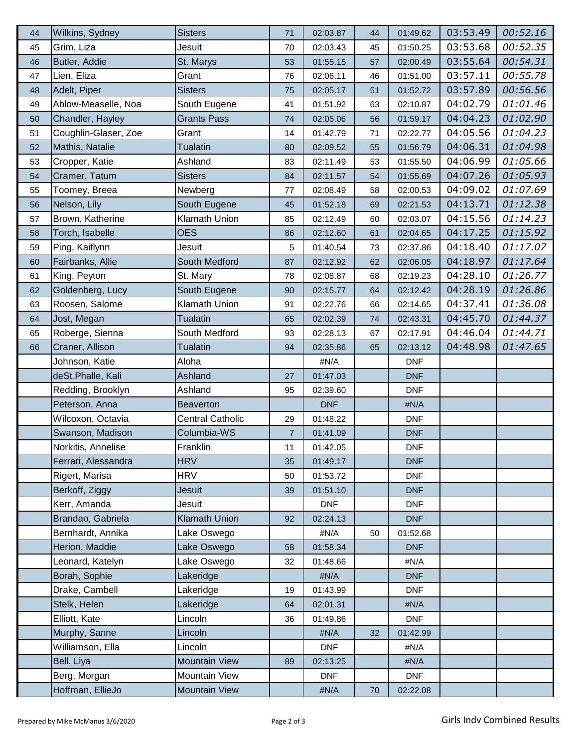| 44 | Wilkins, Sydney      | <b>Sisters</b>          | 71             | 02:03.87   | 44 | 01:49.62   | 03:53.49 | 00:52.16 |
|----|----------------------|-------------------------|----------------|------------|----|------------|----------|----------|
| 45 | Grim, Liza           | Jesuit                  | 70             | 02:03.43   | 45 | 01:50.25   | 03:53.68 | 00:52.35 |
| 46 | Butler, Addie        | St. Marys               | 53             | 01:55.15   | 57 | 02:00.49   | 03:55.64 | 00:54.31 |
| 47 | Lien, Eliza          | Grant                   | 76             | 02:06.11   | 46 | 01:51.00   | 03:57.11 | 00:55.78 |
| 48 | Adelt, Piper         | <b>Sisters</b>          | 75             | 02:05.17   | 51 | 01:52.72   | 03:57.89 | 00:56.56 |
| 49 | Ablow-Measelle, Noa  | South Eugene            | 41             | 01:51.92   | 63 | 02:10.87   | 04:02.79 | 01:01.46 |
| 50 | Chandler, Hayley     | <b>Grants Pass</b>      | 74             | 02:05.06   | 56 | 01:59.17   | 04:04.23 | 01:02.90 |
| 51 | Coughlin-Glaser, Zoe | Grant                   | 14             | 01:42.79   | 71 | 02:22.77   | 04:05.56 | 01:04.23 |
| 52 | Mathis, Natalie      | <b>Tualatin</b>         | 80             | 02:09.52   | 55 | 01:56.79   | 04:06.31 | 01:04.98 |
| 53 | Cropper, Katie       | Ashland                 | 83             | 02:11.49   | 53 | 01:55.50   | 04:06.99 | 01:05.66 |
| 54 | Cramer, Tatum        | <b>Sisters</b>          | 84             | 02:11.57   | 54 | 01:55.69   | 04:07.26 | 01:05.93 |
| 55 | Toomey, Breea        | Newberg                 | 77             | 02:08.49   | 58 | 02:00.53   | 04:09.02 | 01:07.69 |
| 56 | Nelson, Lily         | South Eugene            | 45             | 01:52.18   | 69 | 02:21.53   | 04:13.71 | 01:12.38 |
| 57 | Brown, Katherine     | Klamath Union           | 85             | 02:12.49   | 60 | 02:03.07   | 04:15.56 | 01:14.23 |
| 58 | Torch, Isabelle      | <b>OES</b>              | 86             | 02:12.60   | 61 | 02:04.65   | 04:17.25 | 01:15.92 |
| 59 | Ping, Kaitlynn       | Jesuit                  | 5              | 01:40.54   | 73 | 02:37.86   | 04:18.40 | 01:17.07 |
| 60 | Fairbanks, Allie     | South Medford           | 87             | 02:12.92   | 62 | 02:06.05   | 04:18.97 | 01:17.64 |
| 61 | King, Peyton         | St. Mary                | 78             | 02:08.87   | 68 | 02:19.23   | 04:28.10 | 01:26.77 |
| 62 | Goldenberg, Lucy     | South Eugene            | 90             | 02:15.77   | 64 | 02:12.42   | 04:28.19 | 01:26.86 |
| 63 | Roosen, Salome       | Klamath Union           | 91             | 02:22.76   | 66 | 02:14.65   | 04:37.41 | 01:36.08 |
| 64 | Jost, Megan          | <b>Tualatin</b>         | 65             | 02:02.39   | 74 | 02:43.31   | 04:45.70 | 01:44.37 |
| 65 | Roberge, Sienna      | South Medford           | 93             | 02:28.13   | 67 | 02:17.91   | 04:46.04 | 01:44.71 |
| 66 | Craner, Allison      | <b>Tualatin</b>         | 94             | 02:35.86   | 65 | 02:13.12   | 04:48.98 | 01:47.65 |
|    | Johnson, Katie       | Aloha                   |                | #N/A       |    | <b>DNF</b> |          |          |
|    | deSt.Phalle, Kali    | Ashland                 | 27             | 01:47.03   |    | <b>DNF</b> |          |          |
|    | Redding, Brooklyn    | Ashland                 | 95             | 02:39.60   |    | <b>DNF</b> |          |          |
|    | Peterson, Anna       | <b>Beaverton</b>        |                | <b>DNF</b> |    | #N/A       |          |          |
|    | Wilcoxon, Octavia    | <b>Central Catholic</b> | 29             | 01:48.22   |    | <b>DNF</b> |          |          |
|    | Swanson, Madison     | Columbia-WS             | $\overline{7}$ | 01:41.09   |    | <b>DNF</b> |          |          |
|    | Norkitis, Annelise   | Franklin                | 11             | 01:42.05   |    | <b>DNF</b> |          |          |
|    | Ferrari, Alessandra  | <b>HRV</b>              | 35             | 01:49.17   |    | <b>DNF</b> |          |          |
|    | Rigert, Marisa       | <b>HRV</b>              | 50             | 01:53.72   |    | <b>DNF</b> |          |          |
|    | Berkoff, Ziggy       | Jesuit                  | 39             | 01:51.10   |    | <b>DNF</b> |          |          |
|    | Kerr, Amanda         | Jesuit                  |                | <b>DNF</b> |    | <b>DNF</b> |          |          |
|    | Brandao, Gabriela    | <b>Klamath Union</b>    | 92             | 02:24.13   |    | <b>DNF</b> |          |          |
|    | Bernhardt, Annika    | Lake Oswego             |                | #N/A       | 50 | 01:52.68   |          |          |
|    | Herion, Maddie       | Lake Oswego             | 58             | 01:58.34   |    | <b>DNF</b> |          |          |
|    | Leonard, Katelyn     | Lake Oswego             | 32             | 01:48.66   |    | #N/A       |          |          |
|    | Borah, Sophie        | Lakeridge               |                | #N/A       |    | <b>DNF</b> |          |          |
|    | Drake, Cambell       | Lakeridge               | 19             | 01:43.99   |    | <b>DNF</b> |          |          |
|    | Stelk, Helen         | Lakeridge               | 64             | 02:01.31   |    | #N/A       |          |          |
|    | Elliott, Kate        | Lincoln                 | 36             | 01:49.86   |    | <b>DNF</b> |          |          |
|    | Murphy, Sanne        | Lincoln                 |                | #N/A       | 32 | 01:42.99   |          |          |
|    | Williamson, Ella     | Lincoln                 |                | <b>DNF</b> |    | #N/A       |          |          |
|    | Bell, Liya           | <b>Mountain View</b>    | 89             | 02:13.25   |    | #N/A       |          |          |
|    | Berg, Morgan         | Mountain View           |                | <b>DNF</b> |    | <b>DNF</b> |          |          |
|    | Hoffman, EllieJo     | Mountain View           |                | #N/A       | 70 | 02:22.08   |          |          |